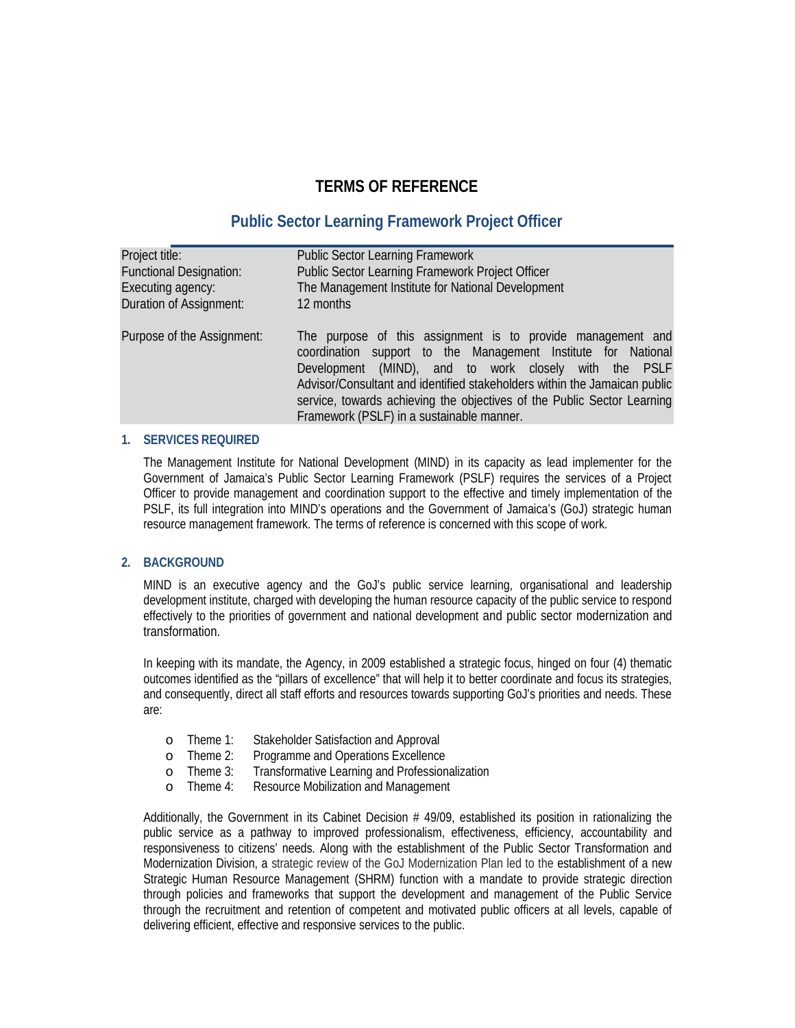# **TERMS OF REFERENCE**

# **Public Sector Learning Framework Project Officer**

| Project title:                 | <b>Public Sector Learning Framework</b>                                                                                                                                                                                                                                                                                                                                                  |
|--------------------------------|------------------------------------------------------------------------------------------------------------------------------------------------------------------------------------------------------------------------------------------------------------------------------------------------------------------------------------------------------------------------------------------|
| <b>Functional Designation:</b> | Public Sector Learning Framework Project Officer                                                                                                                                                                                                                                                                                                                                         |
| Executing agency:              | The Management Institute for National Development                                                                                                                                                                                                                                                                                                                                        |
| <b>Duration of Assignment:</b> | 12 months                                                                                                                                                                                                                                                                                                                                                                                |
| Purpose of the Assignment:     | The purpose of this assignment is to provide management and<br>coordination support to the Management Institute for National<br>Development (MND), and to work dosely with the PSLF<br>Advisor/Consultant and identified stakeholders within the Jamaican public<br>service, towards achieving the objectives of the Public Sector Learning<br>Framework (PSLF) in a sustainable manner. |

### **1. SERVICES REQUIRED**

The Management Institute for National Development (MIND) in its capacity as lead implementer for the Government of Jamaica's Public Sector Learning Framework (PSLF) requires the services of a Project Officer to provide management and coordination support to the effective and timely implementation of the PSLF, its full integration into MIND's operations and the Government of Jamaica's (GoJ) strategic human resource management framework. The terms of reference is concerned with this scope of work.

### **2. BACKGROUND**

MIND is an executive agency and the GoJ's public service learning, organisational and leadership development institute, charged with developing the human resource capacity of the public service to respond effectively to the priorities of government and national development and public sector modernization and transformation.

In keeping with its mandate, the Agency, in 2009 established a strategic focus, hinged on four (4) thematic outcomes identified as the "pillars of excellence" that will help it to better coordinate and focus its strategies, and consequently, direct all staff efforts and resources towards supporting GoJ's priorities and needs. These are:

- o Theme 1: Stakeholder Satisfaction and Approval
- o Theme 2: Programme and Operations Excellence
- o Theme 3: Transformative Learning and Professionalization<br>o Theme 4: Resource Mobilization and Management
- Resource Mobilization and Management

Additionally, the Government in its Cabinet Decision # 49/09, established its position in rationalizing the public service as a pathway to improved professionalism, effectiveness, efficiency, accountability and responsiveness to citizens' needs. Along with the establishment of the Public Sector Transformation and Modernization Division, a strategic review of the GoJ Modernization Plan led to the establishment of a new Strategic Human Resource Management (SHRM) function with a mandate to provide strategic direction through policies and frameworks that support the development and management of the Public Service through the recruitment and retention of competent and motivated public officers at all levels, capable of delivering efficient, effective and responsive services to the public.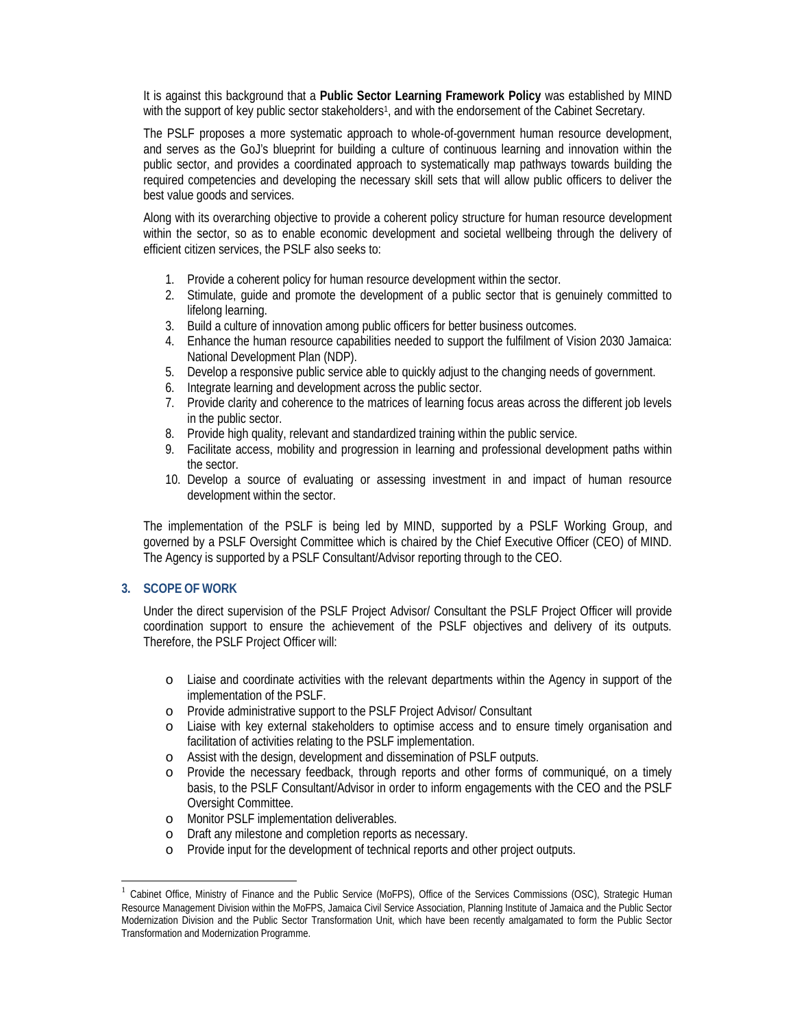It is against this background that a **Public Sector Learning Framework Policy** was established by MIND with the support of key public sector stakeholders<sup>1</sup>, and with the endorsement of the Cabinet Secretary.

The PSLF proposes a more systematic approach to whole-of-government human resource development, and serves as the GoJ's blueprint for building a culture of continuous learning and innovation within the public sector, and provides a coordinated approach to systematically map pathways towards building the required competencies and developing the necessary skill sets that will allow public officers to deliver the best value goods and services.

Along with its overarching objective to provide a coherent policy structure for human resource development within the sector, so as to enable economic development and societal wellbeing through the delivery of efficient citizen services, the PSLF also seeks to:

- 1. Provide a coherent policy for human resource development within the sector.
- 2. Stimulate, guide and promote the development of a public sector that is genuinely committed to lifelong learning.
- 3. Build a culture of innovation among public officers for better business outcomes.
- 4. Enhance the human resource capabilities needed to support the fulfilment of Vision 2030 Jamaica: National Development Plan (NDP).
- 5. Develop a responsive public service able to quickly adjust to the changing needs of government.
- 6. Integrate learning and development across the public sector.
- 7. Provide clarity and coherence to the matrices of learning focus areas across the different job levels in the public sector.
- 8. Provide high quality, relevant and standardized training within the public service.
- 9. Facilitate access, mobility and progression in learning and professional development paths within the sector.
- 10. Develop a source of evaluating or assessing investment in and impact of human resource development within the sector.

The implementation of the PSLF is being led by MIND, supported by a PSLF Working Group, and governed by a PSLF Oversight Committee which is chaired by the Chief Executive Officer (CEO) of MIND. The Agency is supported by a PSLF Consultant/Advisor reporting through to the CEO.

## **3. SCOPE OF WORK**

Under the direct supervision of the PSLF Project Advisor/ Consultant the PSLF Project Officer will provide coordination support to ensure the achievement of the PSLF objectives and delivery of its outputs. Therefore, the PSLF Project Officer will:

- o Liaise and coordinate activities with the relevant departments within the Agency in support of the implementation of the PSLF.
- o Provide administrative support to the PSLF Project Advisor/ Consultant
- o Liaise with key external stakeholders to optimise access and to ensure timely organisation and facilitation of activities relating to the PSLF implementation.
- o Assist with the design, development and dissemination of PSLF outputs.
- o Provide the necessary feedback, through reports and other forms of communiqué, on a timely basis, to the PSLF Consultant/Advisor in order to inform engagements with the CEO and the PSLF Oversight Committee.
- o Monitor PSLF implementation deliverables.
- o Draft any milestone and completion reports as necessary.
- o Provide input for the development of technical reports and other project outputs.

 $1$  Cabinet Office, Ministry of Finance and the Public Service (MoFPS), Office of the Services Commissions (OSC), Strategic Human Resource Management Division within the MoFPS, Jamaica Civil Service Association, Planning Institute of Jamaica and the Public Sector Modernization Division and the Public Sector Transformation Unit, which have been recently amalgamated to form the Public Sector Transformation and Modernization Programme.